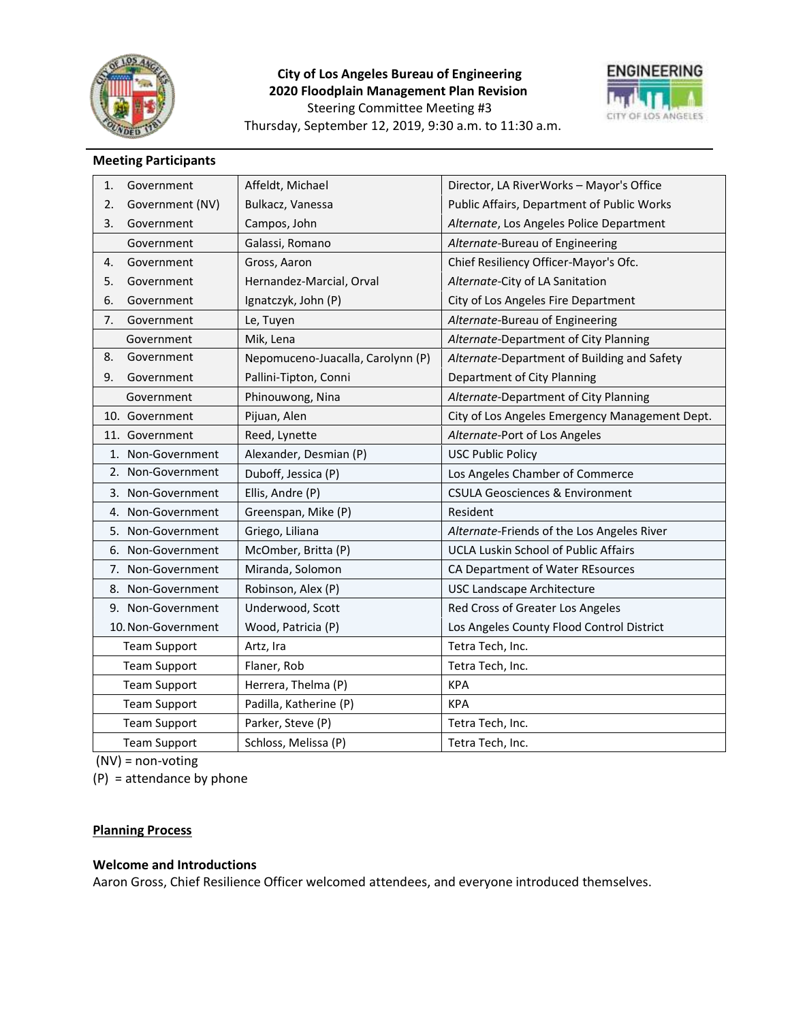

# **City of Los Angeles Bureau of Engineering 2020 Floodplain Management Plan Revision** Steering Committee Meeting #3 Thursday, September 12, 2019, 9:30 a.m. to 11:30 a.m.



## **Meeting Participants**

| 1. | Government          | Affeldt, Michael                  | Director, LA RiverWorks - Mayor's Office       |
|----|---------------------|-----------------------------------|------------------------------------------------|
| 2. | Government (NV)     | Bulkacz, Vanessa                  | Public Affairs, Department of Public Works     |
| 3. | Government          | Campos, John                      | Alternate, Los Angeles Police Department       |
|    | Government          | Galassi, Romano                   | Alternate-Bureau of Engineering                |
| 4. | Government          | Gross, Aaron                      | Chief Resiliency Officer-Mayor's Ofc.          |
| 5. | Government          | Hernandez-Marcial, Orval          | Alternate-City of LA Sanitation                |
| 6. | Government          | Ignatczyk, John (P)               | City of Los Angeles Fire Department            |
| 7. | Government          | Le, Tuyen                         | Alternate-Bureau of Engineering                |
|    | Government          | Mik, Lena                         | Alternate-Department of City Planning          |
| 8. | Government          | Nepomuceno-Juacalla, Carolynn (P) | Alternate-Department of Building and Safety    |
| 9. | Government          | Pallini-Tipton, Conni             | Department of City Planning                    |
|    | Government          | Phinouwong, Nina                  | Alternate-Department of City Planning          |
|    | 10. Government      | Pijuan, Alen                      | City of Los Angeles Emergency Management Dept. |
|    | 11. Government      | Reed, Lynette                     | Alternate-Port of Los Angeles                  |
|    | 1. Non-Government   | Alexander, Desmian (P)            | <b>USC Public Policy</b>                       |
|    | 2. Non-Government   | Duboff, Jessica (P)               | Los Angeles Chamber of Commerce                |
|    | 3. Non-Government   | Ellis, Andre (P)                  | <b>CSULA Geosciences &amp; Environment</b>     |
|    | 4. Non-Government   | Greenspan, Mike (P)               | Resident                                       |
|    | 5. Non-Government   | Griego, Liliana                   | Alternate-Friends of the Los Angeles River     |
|    | 6. Non-Government   | McOmber, Britta (P)               | <b>UCLA Luskin School of Public Affairs</b>    |
|    | 7. Non-Government   | Miranda, Solomon                  | CA Department of Water REsources               |
|    | 8. Non-Government   | Robinson, Alex (P)                | <b>USC Landscape Architecture</b>              |
|    | 9. Non-Government   | Underwood, Scott                  | Red Cross of Greater Los Angeles               |
|    | 10. Non-Government  | Wood, Patricia (P)                | Los Angeles County Flood Control District      |
|    | <b>Team Support</b> | Artz, Ira                         | Tetra Tech, Inc.                               |
|    | <b>Team Support</b> | Flaner, Rob                       | Tetra Tech, Inc.                               |
|    | <b>Team Support</b> | Herrera, Thelma (P)               | <b>KPA</b>                                     |
|    | <b>Team Support</b> | Padilla, Katherine (P)            | <b>KPA</b>                                     |
|    | <b>Team Support</b> | Parker, Steve (P)                 | Tetra Tech, Inc.                               |
|    | <b>Team Support</b> | Schloss, Melissa (P)              | Tetra Tech, Inc.                               |

 $(NV)$  = non-voting

(P) = attendance by phone

## **Planning Process**

#### **Welcome and Introductions**

Aaron Gross, Chief Resilience Officer welcomed attendees, and everyone introduced themselves.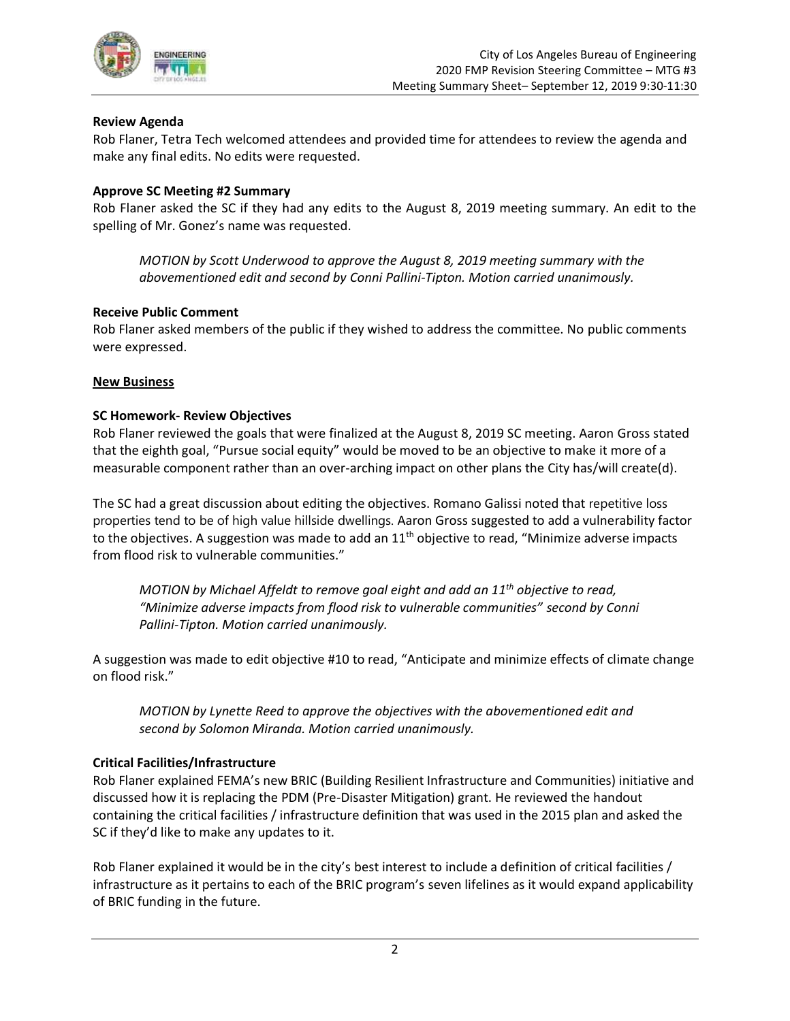

## **Review Agenda**

Rob Flaner, Tetra Tech welcomed attendees and provided time for attendees to review the agenda and make any final edits. No edits were requested.

## **Approve SC Meeting #2 Summary**

Rob Flaner asked the SC if they had any edits to the August 8, 2019 meeting summary. An edit to the spelling of Mr. Gonez's name was requested.

*MOTION by Scott Underwood to approve the August 8, 2019 meeting summary with the abovementioned edit and second by Conni Pallini-Tipton. Motion carried unanimously.*

## **Receive Public Comment**

Rob Flaner asked members of the public if they wished to address the committee. No public comments were expressed.

#### **New Business**

## **SC Homework- Review Objectives**

Rob Flaner reviewed the goals that were finalized at the August 8, 2019 SC meeting. Aaron Gross stated that the eighth goal, "Pursue social equity" would be moved to be an objective to make it more of a measurable component rather than an over-arching impact on other plans the City has/will create(d).

The SC had a great discussion about editing the objectives. Romano Galissi noted that repetitive loss properties tend to be of high value hillside dwellings. Aaron Gross suggested to add a vulnerability factor to the objectives. A suggestion was made to add an  $11<sup>th</sup>$  objective to read, "Minimize adverse impacts from flood risk to vulnerable communities."

*MOTION by Michael Affeldt to remove goal eight and add an 11th objective to read, "Minimize adverse impacts from flood risk to vulnerable communities" second by Conni Pallini-Tipton. Motion carried unanimously.*

A suggestion was made to edit objective #10 to read, "Anticipate and minimize effects of climate change on flood risk."

*MOTION by Lynette Reed to approve the objectives with the abovementioned edit and second by Solomon Miranda. Motion carried unanimously.*

#### **Critical Facilities/Infrastructure**

Rob Flaner explained FEMA's new BRIC (Building Resilient Infrastructure and Communities) initiative and discussed how it is replacing the PDM (Pre-Disaster Mitigation) grant. He reviewed the handout containing the critical facilities / infrastructure definition that was used in the 2015 plan and asked the SC if they'd like to make any updates to it.

Rob Flaner explained it would be in the city's best interest to include a definition of critical facilities / infrastructure as it pertains to each of the BRIC program's seven lifelines as it would expand applicability of BRIC funding in the future.